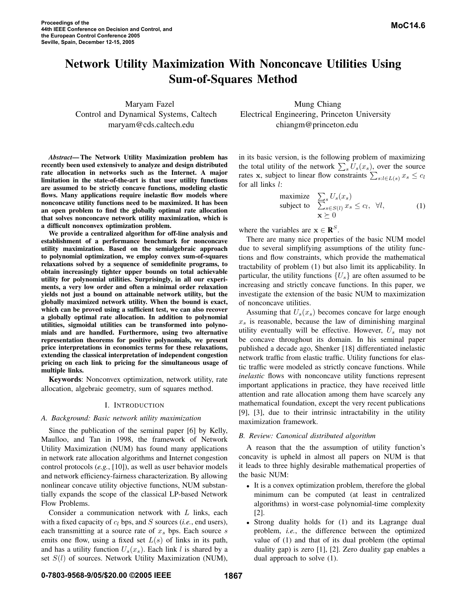# **Network Utility Maximization With Nonconcave Utilities Using Sum-of-Squares Method**

Maryam Fazel Mung Chiang

*Abstract***— The Network Utility Maximization problem has recently been used extensively to analyze and design distributed rate allocation in networks such as the Internet. A major limitation in the state-of-the-art is that user utility functions are assumed to be strictly concave functions, modeling elastic flows. Many applications require inelastic flow models where nonconcave utility functions need to be maximized. It has been an open problem to find the globally optimal rate allocation that solves nonconcave network utility maximization, which is a difficult nonconvex optimization problem.**

**We provide a centralized algorithm for off-line analysis and establishment of a performance benchmark for nonconcave utility maximization. Based on the semialgebraic approach to polynomial optimization, we employ convex sum-of-squares relaxations solved by a sequence of semidefinite programs, to obtain increasingly tighter upper bounds on total achievable utility for polynomial utilities. Surprisingly, in all our experiments, a very low order and often a minimal order relaxation yields not just a bound on attainable network utility, but the globally maximized network utility. When the bound is exact, which can be proved using a sufficient test, we can also recover a globally optimal rate allocation. In addition to polynomial utilities, sigmoidal utilities can be transformed into polynomials and are handled. Furthermore, using two alternative representation theorems for positive polynomials, we present price interpretations in economics terms for these relaxations, extending the classical interpretation of independent congestion pricing on each link to pricing for the simultaneous usage of multiple links.**

**Keywords**: Nonconvex optimization, network utility, rate allocation, algebraic geometry, sum of squares method.

#### I. INTRODUCTION

#### *A. Background: Basic network utility maximization*

Since the publication of the seminal paper [6] by Kelly, Maulloo, and Tan in 1998, the framework of Network Utility Maximization (NUM) has found many applications in network rate allocation algorithms and Internet congestion control protocols (*e.g.*, [10]), as well as user behavior models and network efficiency-fairness characterization. By allowing nonlinear concave utility objective functions, NUM substantially expands the scope of the classical LP-based Network Flow Problems.

Consider a communication network with L links, each with a fixed capacity of  $c_l$  bps, and S sources (*i.e.*, end users), each transmitting at a source rate of  $x<sub>s</sub>$  bps. Each source s emits one flow, using a fixed set  $L(s)$  of links in its path, and has a utility function  $U_s(x_s)$ . Each link l is shared by a set  $S(l)$  of sources. Network Utility Maximization (NUM),

Control and Dynamical Systems, Caltech Electrical Engineering, Princeton University maryam@cds.caltech.edu chiangm@princeton.edu

> in its basic version, is the following problem of maximizing the total utility of the network  $\sum_s U_s(x_s)$ , over the source rates **x**, subject to linear flow constraints  $\sum_{s:l\in L(s)} x_s \leq c_l$ for all links l:

maximize 
$$
\sum_{s \in S(l)} U_s(x_s)
$$
  
subject to  $\sum_{s \in S(l)} x_s \le c_l, \forall l,$  (1)  
 $\mathbf{x} \succeq 0$ 

where the variables are  $\mathbf{x} \in \mathbb{R}^{S}$ .

There are many nice properties of the basic NUM model due to several simplifying assumptions of the utility functions and flow constraints, which provide the mathematical tractability of problem (1) but also limit its applicability. In particular, the utility functions  $\{U_s\}$  are often assumed to be increasing and strictly concave functions. In this paper, we investigate the extension of the basic NUM to maximization of nonconcave utilities.

Assuming that  $U_s(x_s)$  becomes concave for large enough  $x<sub>s</sub>$  is reasonable, because the law of diminishing marginal utility eventually will be effective. However,  $U_s$  may not be concave throughout its domain. In his seminal paper published a decade ago, Shenker [18] differentiated inelastic network traffic from elastic traffic. Utility functions for elastic traffic were modeled as strictly concave functions. While *inelastic* flows with nonconcave utility functions represent important applications in practice, they have received little attention and rate allocation among them have scarcely any mathematical foundation, except the very recent publications [9], [3], due to their intrinsic intractability in the utility maximization framework.

#### *B. Review: Canonical distributed algorithm*

A reason that the the assumption of utility function's concavity is upheld in almost all papers on NUM is that it leads to three highly desirable mathematical properties of the basic NUM:

- It is a convex optimization problem, therefore the global minimum can be computed (at least in centralized algorithms) in worst-case polynomial-time complexity [2].
- Strong duality holds for (1) and its Lagrange dual problem, *i.e.*, the difference between the optimized value of (1) and that of its dual problem (the optimal duality gap) is zero [1], [2]. Zero duality gap enables a dual approach to solve (1).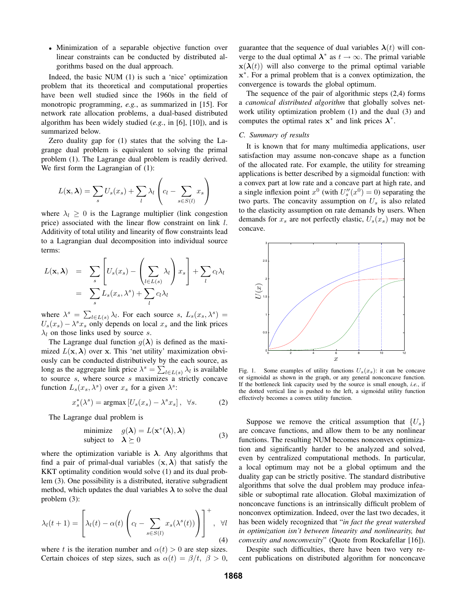• Minimization of a separable objective function over linear constraints can be conducted by distributed algorithms based on the dual approach.

Indeed, the basic NUM (1) is such a 'nice' optimization problem that its theoretical and computational properties have been well studied since the 1960s in the field of monotropic programming, *e.g.*, as summarized in [15]. For network rate allocation problems, a dual-based distributed algorithm has been widely studied (*e.g.*, in [6], [10]), and is summarized below.

Zero duality gap for (1) states that the solving the Lagrange dual problem is equivalent to solving the primal problem (1). The Lagrange dual problem is readily derived. We first form the Lagrangian of  $(1)$ :

$$
L(\mathbf{x}, \boldsymbol{\lambda}) = \sum_{s} U_s(x_s) + \sum_{l} \lambda_l \left( c_l - \sum_{s \in S(l)} x_s \right)
$$

where  $\lambda_l \geq 0$  is the Lagrange multiplier (link congestion price) associated with the linear flow constraint on link l. Additivity of total utility and linearity of flow constraints lead to a Lagrangian dual decomposition into individual source terms:

$$
L(\mathbf{x}, \lambda) = \sum_{s} \left[ U_s(x_s) - \left( \sum_{l \in L(s)} \lambda_l \right) x_s \right] + \sum_{l} c_l \lambda_l
$$
  
= 
$$
\sum_{s} L_s(x_s, \lambda^s) + \sum_{l} c_l \lambda_l
$$

where  $\lambda^s = \sum_{l \in L(s)} \lambda_l$ . For each source s,  $L_s(x_s, \lambda^s) =$ <br> $L_s(x_s) - \lambda^s x$  only depends on local x, and the link prices  $U_s(x_s) - \lambda^s x_s$  only depends on local  $x_s$  and the link prices  $\lambda_l$  on those links used by source s.

The Lagrange dual function  $q(\lambda)$  is defined as the maximized  $L(\mathbf{x}, \lambda)$  over **x**. This 'net utility' maximization obviously can be conducted distributively by the each source, as long as the aggregate link price  $\lambda^s = \sum_{l \in L(s)} \lambda_l$  is available<br>to source supplementary a strictly concave to source  $s$ , where source  $s$  maximizes a strictly concave function  $L_s(x_s, \lambda^s)$  over  $x_s$  for a given  $\lambda^s$ :

$$
x_s^*(\lambda^s) = \operatorname{argmax} \left[ U_s(x_s) - \lambda^s x_s \right], \ \ \forall s. \tag{2}
$$

The Lagrange dual problem is

minimize 
$$
g(\lambda) = L(\mathbf{x}^*(\lambda), \lambda)
$$
  
subject to  $\lambda \succeq 0$  (3)

where the optimization variable is  $\lambda$ . Any algorithms that find a pair of primal-dual variables  $(\mathbf{x}, \lambda)$  that satisfy the KKT optimality condition would solve (1) and its dual problem (3). One possibility is a distributed, iterative subgradient method, which updates the dual variables  $\lambda$  to solve the dual problem (3):

$$
\lambda_l(t+1) = \left[\lambda_l(t) - \alpha(t) \left(c_l - \sum_{s \in S(l)} x_s(\lambda^s(t))\right)\right]^+, \quad \forall l
$$
\n(4)

where t is the iteration number and  $\alpha(t) > 0$  are step sizes. Certain choices of step sizes, such as  $\alpha(t) = \beta/t$ ,  $\beta > 0$ , guarantee that the sequence of dual variables  $\lambda(t)$  will converge to the dual optimal  $\lambda^*$  as  $t \to \infty$ . The primal variable  $\mathbf{x}(\lambda(t))$  will also converge to the primal optimal variable **x**∗. For a primal problem that is a convex optimization, the convergence is towards the global optimum.

The sequence of the pair of algorithmic steps (2,4) forms a *canonical distributed algorithm* that globally solves network utility optimization problem (1) and the dual (3) and computes the optimal rates  $x^*$  and link prices  $\lambda^*$ .

#### *C. Summary of results*

It is known that for many multimedia applications, user satisfaction may assume non-concave shape as a function of the allocated rate. For example, the utility for streaming applications is better described by a sigmoidal function: with a convex part at low rate and a concave part at high rate, and a single inflexion point  $x^0$  (with  $U''_s(x^0) = 0$ ) separating the two parts. The concavity assumption on  $U$  is also related two parts. The concavity assumption on  $U_s$  is also related to the elasticity assumption on rate demands by users. When demands for  $x_s$  are not perfectly elastic,  $U_s(x_s)$  may not be concave.



Fig. 1. Some examples of utility functions  $U_s(x_s)$ : it can be concave or sigmoidal as shown in the graph, or any general nonconcave function. If the bottleneck link capacity used by the source is small enough, *i.e.*, if the dotted vertical line is pushed to the left, a sigmoidal utility function effectively becomes a convex utility function.

Suppose we remove the critical assumption that  $\{U_s\}$ are concave functions, and allow them to be any nonlinear functions. The resulting NUM becomes nonconvex optimization and significantly harder to be analyzed and solved, even by centralized computational methods. In particular, a local optimum may not be a global optimum and the duality gap can be strictly positive. The standard distributive algorithms that solve the dual problem may produce infeasible or suboptimal rate allocation. Global maximization of nonconcave functions is an intrinsically difficult problem of nonconvex optimization. Indeed, over the last two decades, it has been widely recognized that "*in fact the great watershed in optimization isn't between linearity and nonlinearity, but convexity and nonconvexity*" (Quote from Rockafellar [16]).

Despite such difficulties, there have been two very recent publications on distributed algorithm for nonconcave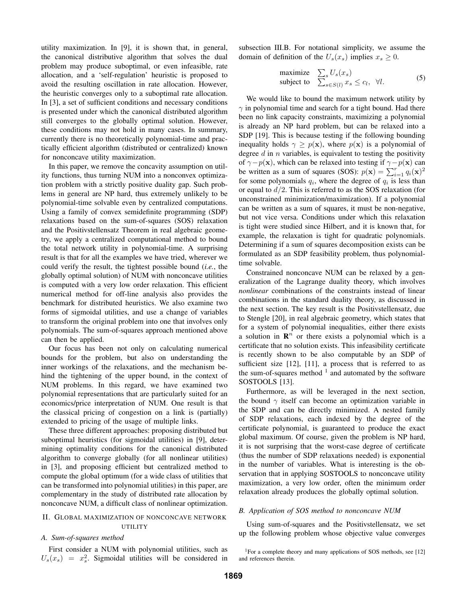utility maximization. In [9], it is shown that, in general, the canonical distributive algorithm that solves the dual problem may produce suboptimal, or even infeasible, rate allocation, and a 'self-regulation' heuristic is proposed to avoid the resulting oscillation in rate allocation. However, the heuristic converges only to a suboptimal rate allocation. In [3], a set of sufficient conditions and necessary conditions is presented under which the canonical distributed algorithm still converges to the globally optimal solution. However, these conditions may not hold in many cases. In summary, currently there is no theoretically polynomial-time and practically efficient algorithm (distributed or centralized) known for nonconcave utility maximization.

In this paper, we remove the concavity assumption on utility functions, thus turning NUM into a nonconvex optimization problem with a strictly positive duality gap. Such problems in general are NP hard, thus extremely unlikely to be polynomial-time solvable even by centralized computations. Using a family of convex semidefinite programming (SDP) relaxations based on the sum-of-squares (SOS) relaxation and the Positivstellensatz Theorem in real algebraic geometry, we apply a centralized computational method to bound the total network utility in polynomial-time. A surprising result is that for all the examples we have tried, wherever we could verify the result, the tightest possible bound (*i.e.*, the globally optimal solution) of NUM with nonconcave utilities is computed with a very low order relaxation. This efficient numerical method for off-line analysis also provides the benchmark for distributed heuristics. We also examine two forms of sigmoidal utilities, and use a change of variables to transform the original problem into one that involves only polynomials. The sum-of-squares approach mentioned above can then be applied.

Our focus has been not only on calculating numerical bounds for the problem, but also on understanding the inner workings of the relaxations, and the mechanism behind the tightening of the upper bound, in the context of NUM problems. In this regard, we have examined two polynomial representations that are particularly suited for an economics/price interpretation of NUM. One result is that the classical pricing of congestion on a link is (partially) extended to pricing of the usage of multiple links.

These three different approaches: proposing distributed but suboptimal heuristics (for sigmoidal utilities) in [9], determining optimality conditions for the canonical distributed algorithm to converge globally (for all nonlinear utilities) in [3], and proposing efficient but centralized method to compute the global optimum (for a wide class of utilities that can be transformed into polynomial utilities) in this paper, are complementary in the study of distributed rate allocation by nonconcave NUM, a difficult class of nonlinear optimization.

## II. GLOBAL MAXIMIZATION OF NONCONCAVE NETWORK UTILITY

## *A. Sum-of-squares method*

First consider a NUM with polynomial utilities, such as  $U_s(x_s) = x_s^2$ . Sigmoidal utilities will be considered in

subsection III.B. For notational simplicity, we assume the domain of definition of the  $U_s(x_s)$  implies  $x_s \geq 0$ .

maximize 
$$
\sum_{s} U_{s}(x_{s})
$$
  
subject to  $\sum_{s \in S(l)} x_{s} \le c_{l}, \forall l.$  (5)

We would like to bound the maximum network utility by  $\gamma$  in polynomial time and search for a tight bound. Had there been no link capacity constraints, maximizing a polynomial is already an NP hard problem, but can be relaxed into a SDP [19]. This is because testing if the following bounding inequality holds  $\gamma \geq p(x)$ , where  $p(x)$  is a polynomial of degree  $d$  in  $n$  variables, is equivalent to testing the positivity of  $\gamma - p(\mathbf{x})$ , which can be relaxed into testing if  $\gamma - p(\mathbf{x})$  can be written as a sum of squares (SOS):  $p(\mathbf{x}) = \sum_{i=1}^{r} q_i(\mathbf{x})^2$ <br>for some polynomials quick the degree of quickless than for some polynomials  $q_i$ , where the degree of  $q_i$  is less than or equal to d/2. This is referred to as the SOS relaxation (for unconstrained minimization/maximization). If a polynomial can be written as a sum of squares, it must be non-negative, but not vice versa. Conditions under which this relaxation is tight were studied since Hilbert, and it is known that, for example, the relaxation is tight for quadratic polynomials. Determining if a sum of squares decomposition exists can be formulated as an SDP feasibility problem, thus polynomialtime solvable.

Constrained nonconcave NUM can be relaxed by a generalization of the Lagrange duality theory, which involves *nonlinear* combinations of the constraints instead of linear combinations in the standard duality theory, as discussed in the next section. The key result is the Positivstellensatz, due to Stengle [20], in real algebraic geometry, which states that for a system of polynomial inequalities, either there exists a solution in  $\mathbb{R}^n$  or there exists a polynomial which is a certificate that no solution exists. This infeasibility certificate is recently shown to be also computable by an SDP of sufficient size [12], [11], a process that is referred to as the sum-of-squares method  $1$  and automated by the software SOSTOOLS [13].

Furthermore, as will be leveraged in the next section, the bound  $\gamma$  itself can become an optimization variable in the SDP and can be directly minimized. A nested family of SDP relaxations, each indexed by the degree of the certificate polynomial, is guaranteed to produce the exact global maximum. Of course, given the problem is NP hard, it is not surprising that the worst-case degree of certificate (thus the number of SDP relaxations needed) is exponential in the number of variables. What is interesting is the observation that in applying SOSTOOLS to nonconcave utility maximization, a very low order, often the minimum order relaxation already produces the globally optimal solution.

#### *B. Application of SOS method to nonconcave NUM*

Using sum-of-squares and the Positivstellensatz, we set up the following problem whose objective value converges

<sup>&</sup>lt;sup>1</sup>For a complete theory and many applications of SOS methods, see [12] and references therein.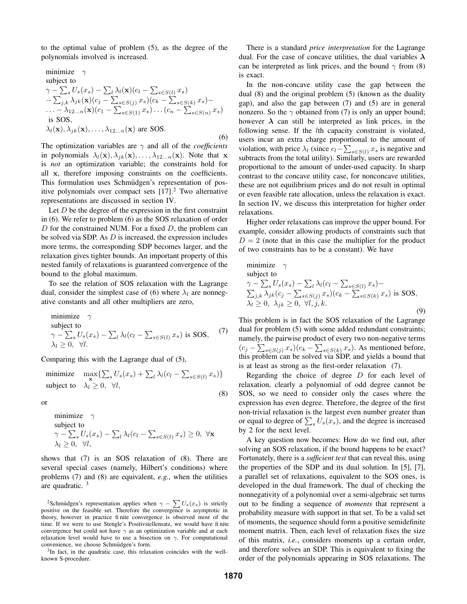to the optimal value of problem (5), as the degree of the polynomials involved is increased.

minimize 
$$
\gamma
$$
  
\nsubject to  
\n
$$
\gamma - \sum_{s} U_{s}(x_{s}) - \sum_{l} \lambda_{l}(\mathbf{x})(c_{l} - \sum_{s \in S(l)} x_{s}) - \sum_{j,k} \lambda_{jk}(\mathbf{x})(c_{j} - \sum_{s \in S(j)} x_{s})(c_{k} - \sum_{s \in S(k)} x_{s}) - \dots - \lambda_{12...n}(\mathbf{x})(c_{1} - \sum_{s \in S(1)} x_{s}) \dots (c_{n} - \sum_{s \in S(n)} x_{s})
$$
\nis SOS,  
\n
$$
\lambda_{l}(\mathbf{x}), \lambda_{jk}(\mathbf{x}), \dots, \lambda_{12...n}(\mathbf{x}) \text{ are SOS.}
$$
\n(6)

The optimization variables are  $\gamma$  and all of the *coefficients* in polynomials  $\lambda_l(\mathbf{x}), \lambda_{jk}(\mathbf{x}), \ldots, \lambda_{12...n}(\mathbf{x})$ . Note that **x** is *not* an optimization variable; the constraints hold for all **x**, therefore imposing constraints on the coefficients. This formulation uses Schmüdgen's representation of positive polynomials over compact sets  $[17]$ <sup>2</sup>. Two alternative representations are discussed in section IV.

Let  $D$  be the degree of the expression in the first constraint in (6). We refer to problem (6) as the SOS relaxation of order D for the constrained NUM. For a fixed  $D$ , the problem can be solved via SDP. As  $D$  is increased, the expression includes more terms, the corresponding SDP becomes larger, and the relaxation gives tighter bounds. An important property of this nested family of relaxations is guaranteed convergence of the bound to the global maximum.

To see the relation of SOS relaxation with the Lagrange dual, consider the simplest case of (6) where  $\lambda_l$  are nonnegative constants and all other multipliers are zero,

minimize 
$$
\gamma
$$
  
subject to  

$$
\gamma - \sum_{s} U_s(x_s) - \sum_{l} \lambda_l (c_l - \sum_{s \in S(l)} x_s) \text{ is SOS}, \quad (7)
$$

$$
\lambda_l \ge 0, \ \forall l.
$$

Comparing this with the Lagrange dual of (5),

minimize 
$$
\max_{\mathbf{x}} \{\sum_{s} U_s(x_s) + \sum_{l} \lambda_l (c_l - \sum_{s \in S(l)} x_s)\}
$$
  
subject to  $\lambda_l \geq 0, \forall l,$  (8)

or

minimize 
$$
\gamma
$$
  
subject to  

$$
\gamma - \sum_{s} U_s(x_s) - \sum_{l} \lambda_l (c_l - \sum_{s \in S(l)} x_s) \ge 0, \ \forall \mathbf{x}
$$

$$
\lambda_l \ge 0, \ \forall l,
$$

shows that (7) is an SOS relaxation of (8). There are several special cases (namely, Hilbert's conditions) where problems (7) and (8) are equivalent, *e.g.*, when the utilities are quadratic. <sup>3</sup>

<sup>3</sup>In fact, in the quadratic case, this relaxation coincides with the wellknown S-procedure.

There is a standard *price interpretation* for the Lagrange dual. For the case of concave utilities, the dual variables **λ** can be interpreted as link prices, and the bound  $\gamma$  from (8) is exact.

In the non-concave utility case the gap between the dual (8) and the original problem (5) (known as the duality gap), and also the gap between (7) and (5) are in general nonzero. So the  $\gamma$  obtained from (7) is only an upper bound; however  $\lambda$  can still be interpreted as link prices, in the following sense. If the *l*th capacity constraint is violated, users incur an extra charge proportional to the amount of violation, with price  $\lambda_l$  (since  $c_l - \sum_{s \in S(l)} x_s$  is negative and subtracts from the total utility). Similarly, users are rewarded proportional to the amount of under-used capacity. In sharp contrast to the concave utility case, for nonconcave utilities, these are not equilibrium prices and do not result in optimal or even feasible rate allocation, unless the relaxation is exact. In section IV, we discuss this interpretation for higher order relaxations.

Higher order relaxations can improve the upper bound. For example, consider allowing products of constraints such that  $D = 2$  (note that in this case the multiplier for the product of two constraints has to be a constant). We have

minimize 
$$
\gamma
$$
  
\nsubject to  
\n
$$
\gamma - \sum_{s} U_{s}(x_{s}) - \sum_{l} \lambda_{l} (c_{l} - \sum_{s \in S(l)} x_{s}) -
$$
\n
$$
\sum_{j,k} \lambda_{jk} (c_{j} - \sum_{s \in S(j)} x_{s}) (c_{k} - \sum_{s \in S(k)} x_{s}) \text{ is SOS,}
$$
\n
$$
\lambda_{l} \geq 0, \lambda_{jk} \geq 0, \forall l, j, k.
$$
\n(9)

This problem is in fact the SOS relaxation of the Lagrange dual for problem (5) with some added redundant constraints; namely, the pairwise product of every two non-negative terms  $(c_j - \sum_{s \in S(j)} x_s)(c_k - \sum_{s \in S(k)} x_s)$ . As mentioned before, this problem can be solved via SDP, and yields a bound that is at least as strong as the first-order relaxation (7).

Regarding the choice of degree  $D$  for each level of relaxation, clearly a polynomial of odd degree cannot be SOS, so we need to consider only the cases where the expression has even degree. Therefore, the degree of the first non-trivial relaxation is the largest even number greater than or equal to degree of  $\sum_s U_s(x_s)$ , and the degree is increased<br>by 2 for the next level by 2 for the next level.

A key question now becomes: How do we find out, after solving an SOS relaxation, if the bound happens to be exact? Fortunately, there is a *sufficient test* that can reveal this, using the properties of the SDP and its dual solution. In [5], [7], a parallel set of relaxations, equivalent to the SOS ones, is developed in the dual framework. The dual of checking the nonnegativity of a polynomial over a semi-algebraic set turns out to be finding a sequence of *moments* that represent a probability measure with support in that set. To be a valid set of moments, the sequence should form a positive semidefinite moment matrix. Then, each level of relaxation fixes the size of this matrix, *i.e.*, considers moments up a certain order, and therefore solves an SDP. This is equivalent to fixing the order of the polynomials appearing in SOS relaxations. The

(8)

<sup>&</sup>lt;sup>2</sup>Schmüdgen's representation applies when  $\gamma - \sum U_s(x_s)$  is strictly positive on the feasible set. Therefore the convergence is asymptotic in theory, however in practice fi nite convergence is observed most of the time. If we were to use Stengle's Positivstellensatz, we would have fi nite convergence but could not have  $\gamma$  as an optimization variable and at each relaxation level would have to use a bisection on  $\gamma$ . For computational convenience, we choose Schmüdgen's form.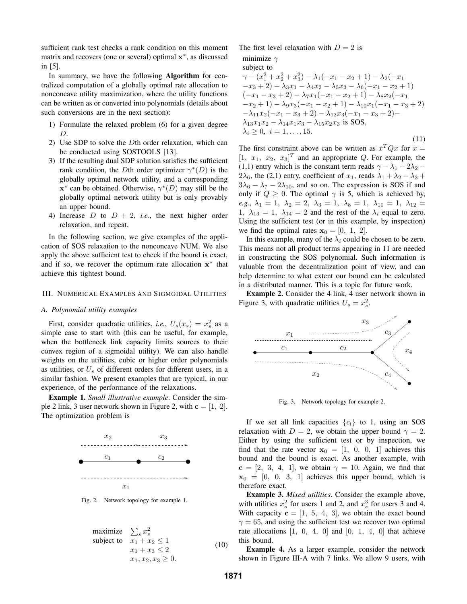sufficient rank test checks a rank condition on this moment matrix and recovers (one or several) optimal **x**∗, as discussed in [5].

In summary, we have the following **Algorithm** for centralized computation of a globally optimal rate allocation to nonconcave utility maximization, where the utility functions can be written as or converted into polynomials (details about such conversions are in the next section):

- 1) Formulate the relaxed problem (6) for a given degree D.
- 2) Use SDP to solve the Dth order relaxation, which can be conducted using SOSTOOLS [13].
- 3) If the resulting dual SDP solution satisfies the sufficient rank condition, the Dth order optimizer  $\gamma^*(D)$  is the globally optimal network utility, and a corresponding **x**<sup>∗</sup> can be obtained. Otherwise,  $\gamma$ <sup>∗</sup>(*D*) may still be the globally optimal network utility but is only provably an upper bound.
- 4) Increase  $D$  to  $D + 2$ , *i.e.*, the next higher order relaxation, and repeat.

In the following section, we give examples of the application of SOS relaxation to the nonconcave NUM. We also apply the above sufficient test to check if the bound is exact, and if so, we recover the optimum rate allocation **x**<sup>∗</sup> that achieve this tightest bound.

#### III. NUMERICAL EXAMPLES AND SIGMOIDAL UTILITIES

#### *A. Polynomial utility examples*

First, consider quadratic utilities, *i.e.*,  $U_s(x_s) = x_s^2$  as a nulle case to start with (this can be useful for example simple case to start with (this can be useful, for example, when the bottleneck link capacity limits sources to their convex region of a sigmoidal utility). We can also handle weights on the utilities, cubic or higher order polynomials as utilities, or  $U_s$  of different orders for different users, in a similar fashion. We present examples that are typical, in our experience, of the performance of the relaxations.

**Example 1.** *Small illustrative example*. Consider the simple 2 link, 3 user network shown in Figure 2, with  $\mathbf{c} = \begin{bmatrix} 1 \\ 2 \end{bmatrix}$ . The optimization problem is



Fig. 2. Network topology for example 1.

maximize 
$$
\sum_{s} x_{s}^{2}
$$
  
\nsubject to 
$$
x_{1} + x_{2} \leq 1
$$

$$
x_{1} + x_{3} \leq 2
$$

$$
x_{1}, x_{2}, x_{3} \geq 0.
$$

$$
(10)
$$

The first level relaxation with  $D = 2$  is

$$
\text{minimize } \gamma
$$

subject to

$$
\gamma - (x_1^2 + x_2^2 + x_3^2) - \lambda_1(-x_1 - x_2 + 1) - \lambda_2(-x_1 - x_3 + 2) - \lambda_3 x_1 - \lambda_4 x_2 - \lambda_5 x_3 - \lambda_6(-x_1 - x_2 + 1) \n(-x_1 - x_3 + 2) - \lambda_7 x_1(-x_1 - x_2 + 1) - \lambda_8 x_2(-x_1 - x_2 + 1) - \lambda_9 x_3(-x_1 - x_2 + 1) - \lambda_{10} x_1(-x_1 - x_3 + 2) \n- \lambda_{11} x_2(-x_1 - x_3 + 2) - \lambda_{12} x_3(-x_1 - x_3 + 2) - \n\lambda_{13} x_1 x_2 - \lambda_{14} x_1 x_3 - \lambda_{15} x_2 x_3 \text{ is SOS},
$$
\n
$$
\lambda_i \ge 0, \quad i = 1, \dots, 15. \tag{11}
$$

The first constraint above can be written as  $x^T Q x$  for  $x =$  $[1, x_1, x_2, x_3]^T$  and an appropriate Q. For example, the  $(1, 1)$  entry which is the constant term reads  $\alpha - \lambda_1 - 2\lambda_2$ (1,1) entry which is the constant term reads  $\gamma - \lambda_1 - 2\lambda_2$  – 2 $\lambda_6$ , the (2,1) entry, coefficient of  $x_1$ , reads  $\lambda_1 + \lambda_2 - \lambda_3 +$  $3\lambda_6 - \lambda_7 - 2\lambda_{10}$ , and so on. The expression is SOS if and only if  $Q \geq 0$ . The optimal  $\gamma$  is 5, which is achieved by, *e.g.*,  $\lambda_1 = 1$ ,  $\lambda_2 = 2$ ,  $\lambda_3 = 1$ ,  $\lambda_8 = 1$ ,  $\lambda_{10} = 1$ ,  $\lambda_{12} =$ 1,  $\lambda_{13} = 1$ ,  $\lambda_{14} = 2$  and the rest of the  $\lambda_i$  equal to zero. Using the sufficient test (or in this example, by inspection) we find the optimal rates  $\mathbf{x}_0 = \begin{bmatrix} 0, 1, 2 \end{bmatrix}$ .

In this example, many of the  $\lambda_i$  could be chosen to be zero. This means not all product terms appearing in 11 are needed in constructing the SOS polynomial. Such information is valuable from the decentralization point of view, and can help determine to what extent our bound can be calculated in a distributed manner. This is a topic for future work.

**Example 2.** Consider the 4 link, 4 user network shown in Figure 3, with quadratic utilities  $U_s = x_s^2$ .



Fig. 3. Network topology for example 2.

If we set all link capacities  $\{c_l\}$  to 1, using an SOS relaxation with  $D = 2$ , we obtain the upper bound  $\gamma = 2$ . Either by using the sufficient test or by inspection, we find that the rate vector  $x_0 = \begin{bmatrix} 1, 0, 0, 1 \end{bmatrix}$  achieves this bound and the bound is exact. As another example, with  $c = \begin{bmatrix} 2, 3, 4, 1 \end{bmatrix}$ , we obtain  $\gamma = 10$ . Again, we find that  $x_0 = [0, 0, 3, 1]$  achieves this upper bound, which is therefore exact.

**Example 3.** *Mixed utilities*. Consider the example above, with utilities  $x_s^2$  for users 1 and 2, and  $x_s^3$  for users 3 and 4. With capacity  $\mathbf{c} = \begin{bmatrix} 1, 5, 4, 3 \end{bmatrix}$ , we obtain the exact bound  $\gamma = 65$ , and using the sufficient test we recover two optimal rate allocations  $\begin{bmatrix} 1, 0, 4, 0 \end{bmatrix}$  and  $\begin{bmatrix} 0, 1, 4, 0 \end{bmatrix}$  that achieve this bound.

**Example 4.** As a larger example, consider the network shown in Figure III-A with 7 links. We allow 9 users, with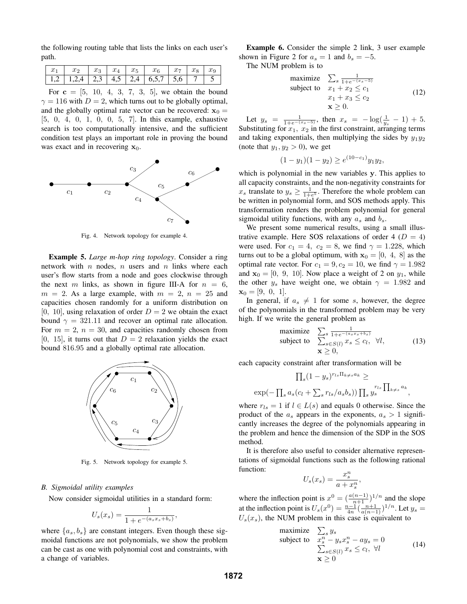the following routing table that lists the links on each user's path.

|  | $x_1$ $x_2$ $x_3$ $x_4$ $x_5$ $x_6$ $x_7$ $x_8$ $x_9$ |  |  |  |  |
|--|-------------------------------------------------------|--|--|--|--|
|  | 1,2   1,2,4   2,3   4,5   2,4   6,5,7   5,6   7       |  |  |  |  |

For  $c = [5, 10, 4, 3, 7, 3, 5]$ , we obtain the bound  $\gamma = 116$  with  $D = 2$ , which turns out to be globally optimal, and the globally optimal rate vector can be recovered:  $\mathbf{x}_0 =$ [5, 0, 4, 0, 1, 0, 0, 5, 7]. In this example, exhaustive search is too computationally intensive, and the sufficient condition test plays an important role in proving the bound was exact and in recovering  $x_0$ .



Fig. 4. Network topology for example 4.

**Example 5.** *Large m-hop ring topology*. Consider a ring network with  $n$  nodes,  $n$  users and  $n$  links where each user's flow starts from a node and goes clockwise through the next m links, as shown in figure III-A for  $n = 6$ ,  $m = 2$ . As a large example, with  $m = 2$ ,  $n = 25$  and capacities chosen randomly for a uniform distribution on [0, 10], using relaxation of order  $D = 2$  we obtain the exact bound  $\gamma = 321.11$  and recover an optimal rate allocation. For  $m = 2$ ,  $n = 30$ , and capacities randomly chosen from [0, 15], it turns out that  $D = 2$  relaxation yields the exact bound 816.95 and a globally optimal rate allocation.



Fig. 5. Network topology for example 5.

### *B. Sigmoidal utility examples*

Now consider sigmoidal utilities in a standard form:

$$
U_s(x_s) = \frac{1}{1 + e^{-(a_s x_s + b_s)}},
$$

 $U_s(x_s) = \frac{1}{1 + e^{-(a_s x_s + b_s)}},$ <br>where  $\{a_s, b_s\}$  are constant integers. Even though these sigmoidal functions are not polynomials, we show the problem can be cast as one with polynomial cost and constraints, with a change of variables.

**Example 6.** Consider the simple 2 link, 3 user example shown in Figure 2 for  $a_s = 1$  and  $b_s = -5$ .

The NUM problem is to

maximize 
$$
\sum_{s} \frac{1}{1+e^{-(x_s-5)}}
$$
  
\nsubject to 
$$
x_1 + x_2 \leq c_1
$$

$$
x_1 + x_3 \leq c_2
$$

$$
\mathbf{x} \geq 0.
$$

$$
(12)
$$

Let  $y_s = \frac{1}{1 + e^{-(x_s - 5)}}$ , then  $x_s = -\log(\frac{1}{y_s} - 1) + 5$ . Substituting for  $x_1$ ,  $x_2$  in the first constraint, arranging terms and taking exponentials, then multiplying the sides by  $y_1y_2$ (note that  $y_1, y_2 > 0$ ), we get

$$
(1 - y1)(1 - y2) \ge e^{(10 - c1)}y_1y_2,
$$

which is polynomial in the new variables **y**. This applies to all capacity constraints, and the non-negativity constraints for  $x_s$  translate to  $y_s \ge \frac{1}{1+e^5}$ . Therefore the whole problem can be written in polynomial form, and SOS methods apply. This transformation renders the problem polynomial for general sigmoidal utility functions, with any  $a_s$  and  $b_s$ .

We present some numerical results, using a small illustrative example. Here SOS relaxations of order 4 ( $D = 4$ ) were used. For  $c_1 = 4$ ,  $c_2 = 8$ , we find  $\gamma = 1.228$ , which turns out to be a global optimum, with  $x_0 = [0, 4, 8]$  as the optimal rate vector. For  $c_1 = 9$ ,  $c_2 = 10$ , we find  $\gamma = 1.982$ and  $\mathbf{x}_0 = \begin{bmatrix} 0, 9, 10 \end{bmatrix}$ . Now place a weight of 2 on  $y_1$ , while the other  $y_s$  have weight one, we obtain  $\gamma = 1.982$  and  $\mathbf{x}_0 = [9, 0, 1].$ 

In general, if  $a_s \neq 1$  for some s, however, the degree of the polynomials in the transformed problem may be very high. If we write the general problem as

maximize 
$$
\sum_{s} \frac{1}{1 + e^{-(a_s x_s + b_s)}}
$$
  
\nsubject to  $\sum_{s \in S(l)} x_s \le c_l, \forall l,$  (13)  
\n $\mathbf{x} \ge 0,$ 

each capacity constraint after transformation will be

$$
\prod_{s}(1-y_s)^{r_{ls}\Pi_{k\neq s}a_k} \ge
$$
  
exp $(-\prod_{s}a_s(c_l+\sum_{s}r_{ls}/a_sb_s))\prod_{s}y_s^{r_{ls}}\prod_{k\neq s}a_k,$ 

where  $r_{ls} = 1$  if  $l \in L(s)$  and equals 0 otherwise. Since the product of the  $a_s$  appears in the exponents,  $a_s > 1$  significantly increases the degree of the polynomials appearing in the problem and hence the dimension of the SDP in the SOS method.

It is therefore also useful to consider alternative representations of sigmoidal functions such as the following rational function:

$$
U_s(x_s) = \frac{x_s^n}{a + x_s^n},
$$

where the inflection point is  $x^0 = \left(\frac{a(n-1)}{n+1}\right)^{1/n}$  and the slope<br>of the inflection point is  $U(\infty) = \frac{n-1}{n+1} \cdot \frac{1}{n+1}$ at the inflection point is  $U_s(x^0) = \frac{n-1}{4n} (\frac{n+1}{a(n-1)})^{1/n}$ . Let  $y_s =$ <br> $U_s(x)$ , the NHM problem in this case is equivalent to  $U_s(x_s)$ , the NUM problem in this case is equivalent to<br>maximize  $\sum_a y_s$ 

maximize 
$$
\sum_{s} y_s
$$
  
\nsubject to  $x_s^n - y_s x_s^n - ay_s = 0$   
\n $\sum_{s \in S(l)} x_s \le c_l, \forall l$   
\n $\mathbf{x} \ge 0$  (14)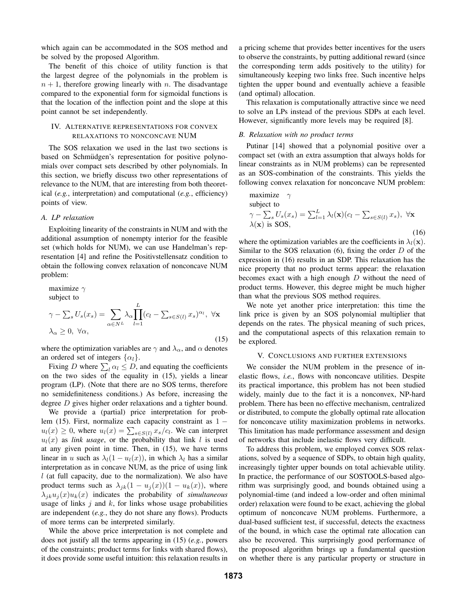which again can be accommodated in the SOS method and be solved by the proposed Algorithm.

The benefit of this choice of utility function is that the largest degree of the polynomials in the problem is  $n + 1$ , therefore growing linearly with n. The disadvantage compared to the exponential form for sigmoidal functions is that the location of the inflection point and the slope at this point cannot be set independently.

### IV. ALTERNATIVE REPRESENTATIONS FOR CONVEX RELAXATIONS TO NONCONCAVE NUM

The SOS relaxation we used in the last two sections is based on Schmüdgen's representation for positive polynomials over compact sets described by other polynomials. In this section, we briefly discuss two other representations of relevance to the NUM, that are interesting from both theoretical (*e.g.*, interpretation) and computational (*e.g.*, efficiency) points of view.

#### *A. LP relaxation*

Exploiting linearity of the constraints in NUM and with the additional assumption of nonempty interior for the feasible set (which holds for NUM), we can use Handelman's representation [4] and refine the Positivstellensatz condition to obtain the following convex relaxation of nonconcave NUM problem:

maximize 
$$
\gamma
$$
  
\nsubject to  
\n
$$
\gamma - \sum_{s} U_{s}(x_{s}) = \sum_{\alpha \in N^{L}} \lambda_{\alpha} \prod_{l=1}^{L} (c_{l} - \sum_{s \in S(l)} x_{s})^{\alpha_{l}}, \ \forall \mathbf{x}
$$
\n
$$
\lambda_{\alpha} \geq 0, \ \forall \alpha,
$$
\n(15)

where the optimization variables are  $\gamma$  and  $\lambda_{\alpha}$ , and  $\alpha$  denotes an ordered set of integers  $\{\alpha_l\}$ .

Fixing D where  $\sum_l \alpha_l \leq D$ , and equating the coefficients on the two sides of the equality in (15), yields a linear program (LP). (Note that there are no SOS terms, therefore no semidefiniteness conditions.) As before, increasing the degree D gives higher order relaxations and a tighter bound.

We provide a (partial) price interpretation for problem (15). First, normalize each capacity constraint as 1 <sup>−</sup>  $u_l(x) \geq 0$ , where  $u_l(x) = \sum_{s \in S(l)} x_s/c_l$ . We can interpret  $u_l(x)$  as *link usage* or the probability that link *l* is used  $u_l(x)$  as *link usage*, or the probability that link l is used at any given point in time. Then, in (15), we have terms linear in u such as  $\lambda_l(1 - u_l(x))$ , in which  $\lambda_l$  has a similar interpretation as in concave NUM, as the price of using link  $l$  (at full capacity, due to the normalization). We also have product terms such as  $\lambda_{jk}(1 - u_j(x))(1 - u_k(x))$ , where  $\lambda_{ik}u_i(x)u_k(x)$  indicates the probability of *simultaneous* usage of links  $j$  and  $k$ , for links whose usage probabilities are independent (*e.g.*, they do not share any flows). Products of more terms can be interpreted similarly.

While the above price interpretation is not complete and does not justify all the terms appearing in (15) (*e.g.*, powers of the constraints; product terms for links with shared flows), it does provide some useful intuition: this relaxation results in

a pricing scheme that provides better incentives for the users to observe the constraints, by putting additional reward (since the corresponding term adds positively to the utility) for simultaneously keeping two links free. Such incentive helps tighten the upper bound and eventually achieve a feasible (and optimal) allocation.

This relaxation is computationally attractive since we need to solve an LPs instead of the previous SDPs at each level. However, significantly more levels may be required [8].

#### *B. Relaxation with no product terms*

Putinar [14] showed that a polynomial positive over a compact set (with an extra assumption that always holds for linear constraints as in NUM problems) can be represented as an SOS-combination of the constraints. This yields the following convex relaxation for nonconcave NUM problem:

maximize 
$$
\gamma
$$
  
\nsubject to  
\n
$$
\gamma - \sum_{s} U_{s}(x_{s}) = \sum_{l=1}^{L} \lambda_{l}(\mathbf{x})(c_{l} - \sum_{s \in S(l)} x_{s}), \forall \mathbf{x}
$$
\n
$$
\lambda(\mathbf{x}) \text{ is SOS}, \qquad (16)
$$

where the optimization variables are the coefficients in  $\lambda_l(\mathbf{x})$ . Similar to the SOS relaxation  $(6)$ , fixing the order  $D$  of the expression in (16) results in an SDP. This relaxation has the nice property that no product terms appear: the relaxation becomes exact with a high enough  $D$  without the need of product terms. However, this degree might be much higher than what the previous SOS method requires.

We note yet another price interpretation: this time the link price is given by an SOS polynomial multiplier that depends on the rates. The physical meaning of such prices, and the computational aspects of this relaxation remain to be explored.

#### V. CONCLUSIONS AND FURTHER EXTENSIONS

We consider the NUM problem in the presence of inelastic flows, *i.e.*, flows with nonconcave utilities. Despite its practical importance, this problem has not been studied widely, mainly due to the fact it is a nonconvex, NP-hard problem. There has been no effective mechanism, centralized or distributed, to compute the globally optimal rate allocation for nonconcave utility maximization problems in networks. This limitation has made performance assessment and design of networks that include inelastic flows very difficult.

To address this problem, we employed convex SOS relaxations, solved by a sequence of SDPs, to obtain high quality, increasingly tighter upper bounds on total achievable utility. In practice, the performance of our SOSTOOLS-based algorithm was surprisingly good, and bounds obtained using a polynomial-time (and indeed a low-order and often minimal order) relaxation were found to be exact, achieving the global optimum of nonconcave NUM problems. Furthermore, a dual-based sufficient test, if successful, detects the exactness of the bound, in which case the optimal rate allocation can also be recovered. This surprisingly good performance of the proposed algorithm brings up a fundamental question on whether there is any particular property or structure in